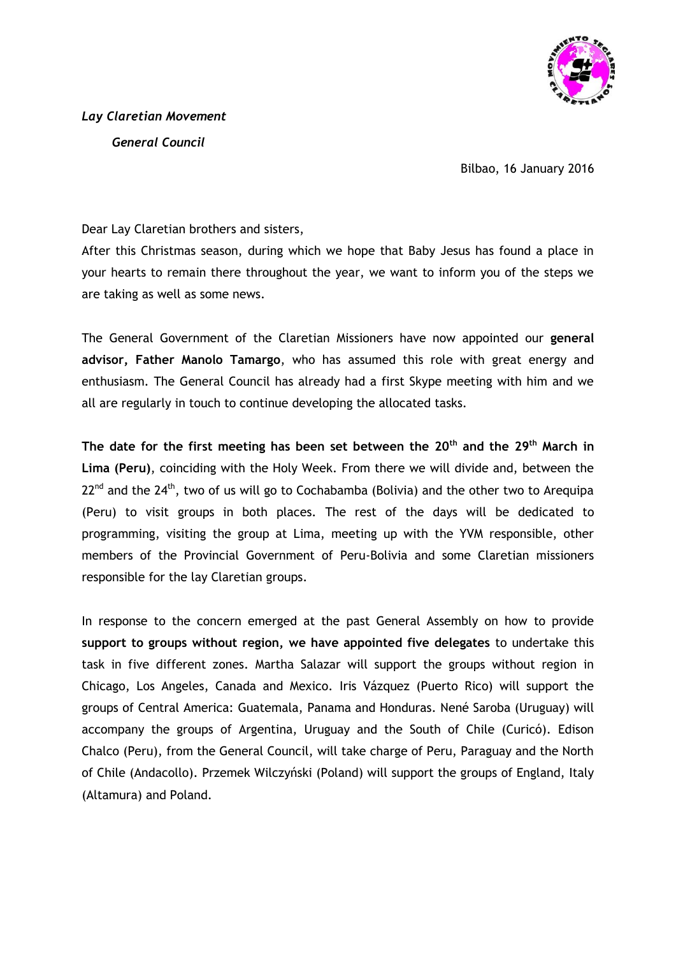

Bilbao, 16 January 2016

Dear Lay Claretian brothers and sisters,

After this Christmas season, during which we hope that Baby Jesus has found a place in your hearts to remain there throughout the year, we want to inform you of the steps we are taking as well as some news.

The General Government of the Claretian Missioners have now appointed our **general advisor, Father Manolo Tamargo**, who has assumed this role with great energy and enthusiasm. The General Council has already had a first Skype meeting with him and we all are regularly in touch to continue developing the allocated tasks.

**The date for the first meeting has been set between the 20th and the 29 th March in Lima (Peru)**, coinciding with the Holy Week. From there we will divide and, between the  $22^{nd}$  and the  $24^{th}$ , two of us will go to Cochabamba (Bolivia) and the other two to Arequipa (Peru) to visit groups in both places. The rest of the days will be dedicated to programming, visiting the group at Lima, meeting up with the YVM responsible, other members of the Provincial Government of Peru-Bolivia and some Claretian missioners responsible for the lay Claretian groups.

In response to the concern emerged at the past General Assembly on how to provide **support to groups without region, we have appointed five delegates** to undertake this task in five different zones. Martha Salazar will support the groups without region in Chicago, Los Angeles, Canada and Mexico. Iris Vázquez (Puerto Rico) will support the groups of Central America: Guatemala, Panama and Honduras. Nené Saroba (Uruguay) will accompany the groups of Argentina, Uruguay and the South of Chile (Curicó). Edison Chalco (Peru), from the General Council, will take charge of Peru, Paraguay and the North of Chile (Andacollo). Przemek Wilczyński (Poland) will support the groups of England, Italy (Altamura) and Poland.